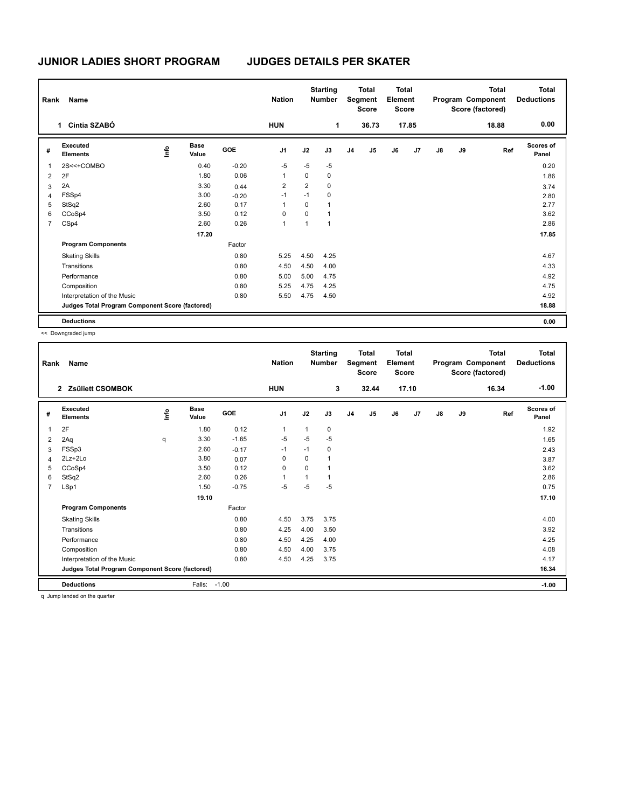## **JUNIOR LADIES SHORT PROGRAM JUDGES DETAILS PER SKATER**

| Rank | <b>Name</b>                                     |             |                      |            | <b>Nation</b>  |                | <b>Starting</b><br><b>Number</b> |                | <b>Total</b><br>Segment<br><b>Score</b> | <b>Total</b><br>Element<br><b>Score</b> |       |               |    | <b>Total</b><br>Program Component<br>Score (factored) | <b>Total</b><br><b>Deductions</b> |
|------|-------------------------------------------------|-------------|----------------------|------------|----------------|----------------|----------------------------------|----------------|-----------------------------------------|-----------------------------------------|-------|---------------|----|-------------------------------------------------------|-----------------------------------|
|      | Cintia SZABÓ<br>1                               |             |                      |            | <b>HUN</b>     |                | 1                                |                | 36.73                                   |                                         | 17.85 |               |    | 18.88                                                 | 0.00                              |
| #    | Executed<br><b>Elements</b>                     | <u>info</u> | <b>Base</b><br>Value | <b>GOE</b> | J <sub>1</sub> | J2             | J3                               | J <sub>4</sub> | J <sub>5</sub>                          | J6                                      | J7    | $\mathsf{J}8$ | J9 | Ref                                                   | <b>Scores of</b><br>Panel         |
| 1    | 2S<<+COMBO                                      |             | 0.40                 | $-0.20$    | $-5$           | $-5$           | $-5$                             |                |                                         |                                         |       |               |    |                                                       | 0.20                              |
| 2    | 2F                                              |             | 1.80                 | 0.06       | 1              | $\Omega$       | $\mathbf 0$                      |                |                                         |                                         |       |               |    |                                                       | 1.86                              |
| 3    | 2A                                              |             | 3.30                 | 0.44       | $\overline{2}$ | $\overline{2}$ | $\mathbf 0$                      |                |                                         |                                         |       |               |    |                                                       | 3.74                              |
| 4    | FSSp4                                           |             | 3.00                 | $-0.20$    | $-1$           | $-1$           | 0                                |                |                                         |                                         |       |               |    |                                                       | 2.80                              |
| 5    | StSq2                                           |             | 2.60                 | 0.17       | 1              | 0              | $\mathbf{1}$                     |                |                                         |                                         |       |               |    |                                                       | 2.77                              |
| 6    | CCoSp4                                          |             | 3.50                 | 0.12       | 0              | $\Omega$       | $\mathbf{1}$                     |                |                                         |                                         |       |               |    |                                                       | 3.62                              |
| 7    | CSp4                                            |             | 2.60                 | 0.26       | 1              | 1              | $\mathbf{1}$                     |                |                                         |                                         |       |               |    |                                                       | 2.86                              |
|      |                                                 |             | 17.20                |            |                |                |                                  |                |                                         |                                         |       |               |    |                                                       | 17.85                             |
|      | <b>Program Components</b>                       |             |                      | Factor     |                |                |                                  |                |                                         |                                         |       |               |    |                                                       |                                   |
|      | <b>Skating Skills</b>                           |             |                      | 0.80       | 5.25           | 4.50           | 4.25                             |                |                                         |                                         |       |               |    |                                                       | 4.67                              |
|      | Transitions                                     |             |                      | 0.80       | 4.50           | 4.50           | 4.00                             |                |                                         |                                         |       |               |    |                                                       | 4.33                              |
|      | Performance                                     |             |                      | 0.80       | 5.00           | 5.00           | 4.75                             |                |                                         |                                         |       |               |    |                                                       | 4.92                              |
|      | Composition                                     |             |                      | 0.80       | 5.25           | 4.75           | 4.25                             |                |                                         |                                         |       |               |    |                                                       | 4.75                              |
|      | Interpretation of the Music                     |             |                      | 0.80       | 5.50           | 4.75           | 4.50                             |                |                                         |                                         |       |               |    |                                                       | 4.92                              |
|      | Judges Total Program Component Score (factored) |             |                      |            |                |                |                                  |                |                                         |                                         |       |               |    |                                                       | 18.88                             |
|      | <b>Deductions</b>                               |             |                      |            |                |                |                                  |                |                                         |                                         |       |               |    |                                                       | 0.00                              |

<< Downgraded jump

| Rank           | Name                                            |      |                      |            | <b>Nation</b>  |      | <b>Starting</b><br><b>Number</b> |                | <b>Total</b><br>Segment<br><b>Score</b> | Total<br>Element<br><b>Score</b> |       |    |    | <b>Total</b><br>Program Component<br>Score (factored) | <b>Total</b><br><b>Deductions</b> |
|----------------|-------------------------------------------------|------|----------------------|------------|----------------|------|----------------------------------|----------------|-----------------------------------------|----------------------------------|-------|----|----|-------------------------------------------------------|-----------------------------------|
|                | 2 Zsüliett CSOMBOK                              |      |                      |            | <b>HUN</b>     |      | 3                                |                | 32.44                                   |                                  | 17.10 |    |    | 16.34                                                 | $-1.00$                           |
| #              | Executed<br><b>Elements</b>                     | lnfo | <b>Base</b><br>Value | <b>GOE</b> | J <sub>1</sub> | J2   | J3                               | J <sub>4</sub> | J5                                      | J6                               | J7    | J8 | J9 | Ref                                                   | Scores of<br>Panel                |
| 1              | 2F                                              |      | 1.80                 | 0.12       | $\overline{1}$ | 1    | 0                                |                |                                         |                                  |       |    |    |                                                       | 1.92                              |
| 2              | 2Aq                                             | q    | 3.30                 | $-1.65$    | $-5$           | $-5$ | $-5$                             |                |                                         |                                  |       |    |    |                                                       | 1.65                              |
| 3              | FSSp3                                           |      | 2.60                 | $-0.17$    | $-1$           | $-1$ | 0                                |                |                                         |                                  |       |    |    |                                                       | 2.43                              |
| 4              | $2Lz + 2Lo$                                     |      | 3.80                 | 0.07       | 0              | 0    | 1                                |                |                                         |                                  |       |    |    |                                                       | 3.87                              |
| 5              | CCoSp4                                          |      | 3.50                 | 0.12       | $\mathbf 0$    | 0    | 1                                |                |                                         |                                  |       |    |    |                                                       | 3.62                              |
| 6              | StSq2                                           |      | 2.60                 | 0.26       | $\overline{1}$ | 1    | 1                                |                |                                         |                                  |       |    |    |                                                       | 2.86                              |
| $\overline{7}$ | LSp1                                            |      | 1.50                 | $-0.75$    | $-5$           | -5   | $-5$                             |                |                                         |                                  |       |    |    |                                                       | 0.75                              |
|                |                                                 |      | 19.10                |            |                |      |                                  |                |                                         |                                  |       |    |    |                                                       | 17.10                             |
|                | <b>Program Components</b>                       |      |                      | Factor     |                |      |                                  |                |                                         |                                  |       |    |    |                                                       |                                   |
|                | <b>Skating Skills</b>                           |      |                      | 0.80       | 4.50           | 3.75 | 3.75                             |                |                                         |                                  |       |    |    |                                                       | 4.00                              |
|                | Transitions                                     |      |                      | 0.80       | 4.25           | 4.00 | 3.50                             |                |                                         |                                  |       |    |    |                                                       | 3.92                              |
|                | Performance                                     |      |                      | 0.80       | 4.50           | 4.25 | 4.00                             |                |                                         |                                  |       |    |    |                                                       | 4.25                              |
|                | Composition                                     |      |                      | 0.80       | 4.50           | 4.00 | 3.75                             |                |                                         |                                  |       |    |    |                                                       | 4.08                              |
|                | Interpretation of the Music                     |      |                      | 0.80       | 4.50           | 4.25 | 3.75                             |                |                                         |                                  |       |    |    |                                                       | 4.17                              |
|                | Judges Total Program Component Score (factored) |      |                      |            |                |      |                                  |                |                                         |                                  |       |    |    |                                                       | 16.34                             |
|                | <b>Deductions</b>                               |      | Falls:               | $-1.00$    |                |      |                                  |                |                                         |                                  |       |    |    |                                                       | $-1.00$                           |

q Jump landed on the quarter